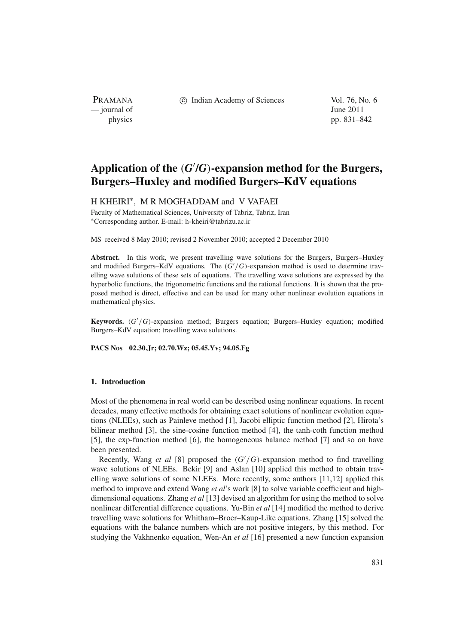PRAMANA — journal of June 2011

c Indian Academy of Sciences Vol. 76, No. 6

physics pp. 831–842

# **Application of the** (*G* **/***G*)**-expansion method for the Burgers, Burgers–Huxley and modified Burgers–KdV equations**

## H KHEIRI<sup>\*</sup>, M R MOGHADDAM and V VAFAEI

Faculty of Mathematical Sciences, University of Tabriz, Tabriz, Iran <sup>∗</sup>Corresponding author. E-mail: h-kheiri@tabrizu.ac.ir

MS received 8 May 2010; revised 2 November 2010; accepted 2 December 2010

**Abstract.** In this work, we present travelling wave solutions for the Burgers, Burgers–Huxley and modified Burgers–KdV equations. The  $(G'/G)$ -expansion method is used to determine travelling wave solutions of these sets of equations. The travelling wave solutions are expressed by the hyperbolic functions, the trigonometric functions and the rational functions. It is shown that the proposed method is direct, effective and can be used for many other nonlinear evolution equations in mathematical physics.

**Keywords.** (*G* /*G*)-expansion method; Burgers equation; Burgers–Huxley equation; modified Burgers–KdV equation; travelling wave solutions.

**PACS Nos 02.30.Jr; 02.70.Wz; 05.45.Yv; 94.05.Fg**

#### **1. Introduction**

Most of the phenomena in real world can be described using nonlinear equations. In recent decades, many effective methods for obtaining exact solutions of nonlinear evolution equations (NLEEs), such as Painleve method [1], Jacobi elliptic function method [2], Hirota's bilinear method [3], the sine-cosine function method [4], the tanh-coth function method [5], the exp-function method [6], the homogeneous balance method [7] and so on have been presented.

Recently, Wang *et al* [8] proposed the (*G* /*G*)-expansion method to find travelling wave solutions of NLEEs. Bekir [9] and Aslan [10] applied this method to obtain travelling wave solutions of some NLEEs. More recently, some authors [11,12] applied this method to improve and extend Wang *et al*'s work [8] to solve variable coefficient and highdimensional equations. Zhang *et al* [13] devised an algorithm for using the method to solve nonlinear differential difference equations. Yu-Bin *et al* [14] modified the method to derive travelling wave solutions for Whitham–Broer–Kaup-Like equations. Zhang [15] solved the equations with the balance numbers which are not positive integers, by this method. For studying the Vakhnenko equation, Wen-An *et al* [16] presented a new function expansion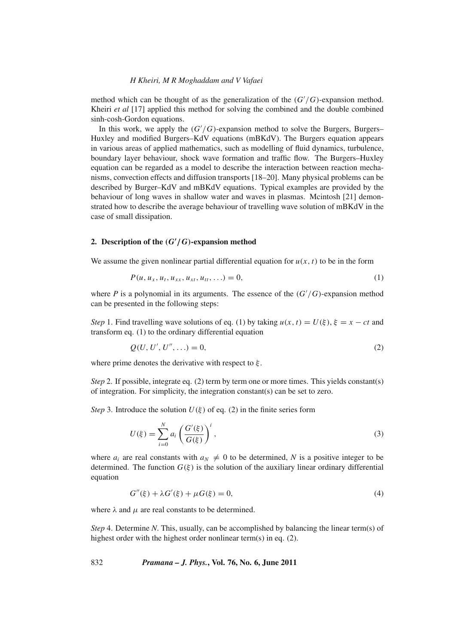method which can be thought of as the generalization of the  $(G'/G)$ -expansion method. Kheiri *et al* [17] applied this method for solving the combined and the double combined sinh-cosh-Gordon equations.

In this work, we apply the  $(G'/G)$ -expansion method to solve the Burgers, Burgers– Huxley and modified Burgers–KdV equations (mBKdV). The Burgers equation appears in various areas of applied mathematics, such as modelling of fluid dynamics, turbulence, boundary layer behaviour, shock wave formation and traffic flow. The Burgers–Huxley equation can be regarded as a model to describe the interaction between reaction mechanisms, convection effects and diffusion transports [18–20]. Many physical problems can be described by Burger–KdV and mBKdV equations. Typical examples are provided by the behaviour of long waves in shallow water and waves in plasmas. Mcintosh [21] demonstrated how to describe the average behaviour of travelling wave solution of mBKdV in the case of small dissipation.

# **2.** Description of the  $(G'/G)$ -expansion method

We assume the given nonlinear partial differential equation for  $u(x, t)$  to be in the form

$$
P(u, u_x, u_t, u_{xx}, u_{xt}, u_{tt}, \ldots) = 0,
$$
\n(1)

where  $P$  is a polynomial in its arguments. The essence of the  $(G'/G)$ -expansion method can be presented in the following steps:

*Step* 1. Find travelling wave solutions of eq. (1) by taking  $u(x, t) = U(\xi), \xi = x - ct$  and transform eq. (1) to the ordinary differential equation

$$
Q(U, U', U'', \ldots) = 0,\t\t(2)
$$

where prime denotes the derivative with respect to  $\xi$ .

*Step* 2. If possible, integrate eq. (2) term by term one or more times. This yields constant(s) of integration. For simplicity, the integration constant(s) can be set to zero.

*Step* 3. Introduce the solution  $U(\xi)$  of eq. (2) in the finite series form

$$
U(\xi) = \sum_{i=0}^{N} a_i \left( \frac{G'(\xi)}{G(\xi)} \right)^i,
$$
\n(3)

where  $a_i$  are real constants with  $a_N \neq 0$  to be determined, N is a positive integer to be determined. The function  $G(\xi)$  is the solution of the auxiliary linear ordinary differential equation

$$
G''(\xi) + \lambda G'(\xi) + \mu G(\xi) = 0,
$$
\n(4)

where  $\lambda$  and  $\mu$  are real constants to be determined.

*Step* 4. Determine *N*. This, usually, can be accomplished by balancing the linear term(s) of highest order with the highest order nonlinear term(s) in eq. (2).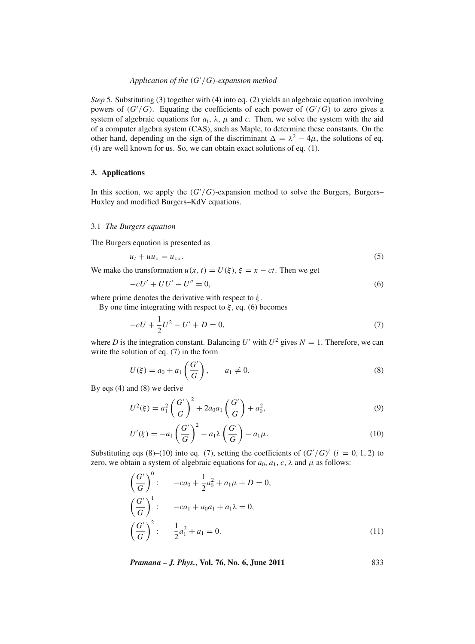# *Application of the* (*G* /*G*)*-expansion method*

*Step* 5. Substituting (3) together with (4) into eq. (2) yields an algebraic equation involving powers of  $(G'/G)$ . Equating the coefficients of each power of  $(G'/G)$  to zero gives a system of algebraic equations for  $a_i$ ,  $\lambda$ ,  $\mu$  and *c*. Then, we solve the system with the aid of a computer algebra system (CAS), such as Maple, to determine these constants. On the other hand, depending on the sign of the discriminant  $\Delta = \lambda^2 - 4\mu$ , the solutions of eq. (4) are well known for us. So, we can obtain exact solutions of eq. (1).

#### **3. Applications**

In this section, we apply the  $(G'/G)$ -expansion method to solve the Burgers, Burgers– Huxley and modified Burgers–KdV equations.

#### 3.1 *The Burgers equation*

The Burgers equation is presented as

$$
u_t + u u_x = u_{xx}.\tag{5}
$$

We make the transformation  $u(x, t) = U(\xi)$ ,  $\xi = x - ct$ . Then we get

$$
-cU' + UU' - U'' = 0,\t\t(6)
$$

where prime denotes the derivative with respect to  $\xi$ .

By one time integrating with respect to  $\xi$ , eq. (6) becomes

$$
-cU + \frac{1}{2}U^2 - U' + D = 0,\t\t(7)
$$

where *D* is the integration constant. Balancing *U'* with  $U^2$  gives  $N = 1$ . Therefore, we can write the solution of eq. (7) in the form

$$
U(\xi) = a_0 + a_1 \left(\frac{G'}{G}\right), \qquad a_1 \neq 0. \tag{8}
$$

By eqs (4) and (8) we derive

$$
U^{2}(\xi) = a_{1}^{2} \left(\frac{G'}{G}\right)^{2} + 2a_{0}a_{1} \left(\frac{G'}{G}\right) + a_{0}^{2},
$$
\n(9)

$$
U'(\xi) = -a_1 \left(\frac{G'}{G}\right)^2 - a_1 \lambda \left(\frac{G'}{G}\right) - a_1 \mu.
$$
\n(10)

Substituting eqs (8)–(10) into eq. (7), setting the coefficients of  $(G'/G)^i$  ( $i = 0, 1, 2$ ) to zero, we obtain a system of algebraic equations for  $a_0$ ,  $a_1$ ,  $c$ ,  $\lambda$  and  $\mu$  as follows:

$$
\left(\frac{G'}{G}\right)^0: \quad -ca_0 + \frac{1}{2}a_0^2 + a_1\mu + D = 0,
$$
\n
$$
\left(\frac{G'}{G}\right)^1: \quad -ca_1 + a_0a_1 + a_1\lambda = 0,
$$
\n
$$
\left(\frac{G'}{G}\right)^2: \quad \frac{1}{2}a_1^2 + a_1 = 0.
$$
\n(11)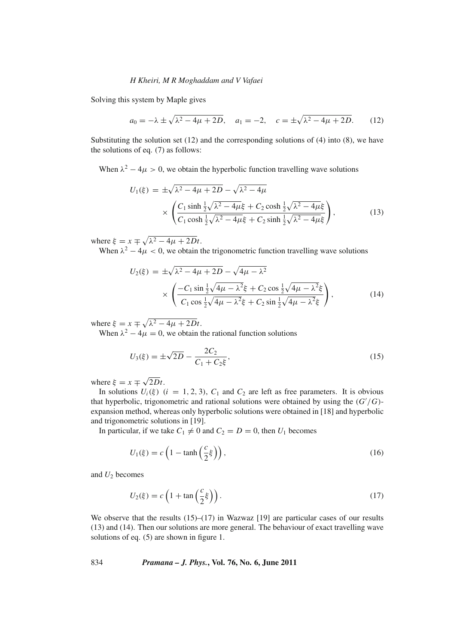Solving this system by Maple gives

$$
a_0 = -\lambda \pm \sqrt{\lambda^2 - 4\mu + 2D}, \quad a_1 = -2, \quad c = \pm \sqrt{\lambda^2 - 4\mu + 2D}.
$$
 (12)

Substituting the solution set (12) and the corresponding solutions of (4) into (8), we have the solutions of eq. (7) as follows:

When  $\lambda^2 - 4\mu > 0$ , we obtain the hyperbolic function travelling wave solutions

$$
U_1(\xi) = \pm \sqrt{\lambda^2 - 4\mu + 2D} - \sqrt{\lambda^2 - 4\mu} \times \left( \frac{C_1 \sinh \frac{1}{2} \sqrt{\lambda^2 - 4\mu} \xi + C_2 \cosh \frac{1}{2} \sqrt{\lambda^2 - 4\mu} \xi}{C_1 \cosh \frac{1}{2} \sqrt{\lambda^2 - 4\mu} \xi + C_2 \sinh \frac{1}{2} \sqrt{\lambda^2 - 4\mu} \xi} \right),
$$
(13)

where  $\xi = x \pm \sqrt{\lambda^2 - 4\mu + 2Dt}$ .

When  $\lambda^2 - 4\mu < 0$ , we obtain the trigonometric function travelling wave solutions

$$
U_2(\xi) = \pm \sqrt{\lambda^2 - 4\mu + 2D} - \sqrt{4\mu - \lambda^2}
$$
  
 
$$
\times \left( \frac{-C_1 \sin \frac{1}{2} \sqrt{4\mu - \lambda^2} \xi + C_2 \cos \frac{1}{2} \sqrt{4\mu - \lambda^2} \xi}{C_1 \cos \frac{1}{2} \sqrt{4\mu - \lambda^2} \xi + C_2 \sin \frac{1}{2} \sqrt{4\mu - \lambda^2} \xi} \right),
$$
 (14)

where  $\xi = x \pm \sqrt{\lambda^2 - 4\mu + 2Dt}$ .

When  $\lambda^2 - 4\mu = 0$ , we obtain the rational function solutions

$$
U_3(\xi) = \pm \sqrt{2D} - \frac{2C_2}{C_1 + C_2 \xi},\tag{15}
$$

where  $\xi = x \mp \sqrt{2Dt}$ .

In solutions  $U_i(\xi)$  ( $i = 1, 2, 3$ ),  $C_1$  and  $C_2$  are left as free parameters. It is obvious that hyperbolic, trigonometric and rational solutions were obtained by using the  $(G'/G)$ expansion method, whereas only hyperbolic solutions were obtained in [18] and hyperbolic and trigonometric solutions in [19].

In particular, if we take  $C_1 \neq 0$  and  $C_2 = D = 0$ , then  $U_1$  becomes

$$
U_1(\xi) = c \left( 1 - \tanh\left(\frac{c}{2}\xi\right) \right),\tag{16}
$$

and  $U_2$  becomes

$$
U_2(\xi) = c \left( 1 + \tan \left( \frac{c}{2} \xi \right) \right). \tag{17}
$$

We observe that the results  $(15)$ – $(17)$  in Wazwaz [19] are particular cases of our results (13) and (14). Then our solutions are more general. The behaviour of exact travelling wave solutions of eq. (5) are shown in figure 1.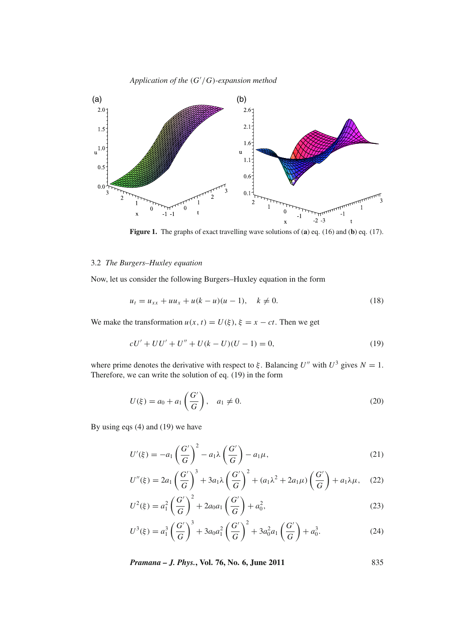*Application of the* (*G* /*G*)*-expansion method*



**Figure 1.** The graphs of exact travelling wave solutions of (**a**) eq. (16) and (**b**) eq. (17).

## 3.2 *The Burgers–Huxley equation*

Now, let us consider the following Burgers–Huxley equation in the form

$$
u_t = u_{xx} + uu_x + u(k - u)(u - 1), \quad k \neq 0.
$$
 (18)

We make the transformation  $u(x, t) = U(\xi), \xi = x - ct$ . Then we get

$$
cU' + UU' + U'' + U(k - U)(U - 1) = 0,
$$
\n(19)

where prime denotes the derivative with respect to  $\xi$ . Balancing *U''* with  $U^3$  gives  $N = 1$ . Therefore, we can write the solution of eq. (19) in the form

$$
U(\xi) = a_0 + a_1 \left(\frac{G'}{G}\right), \quad a_1 \neq 0.
$$
 (20)

By using eqs (4) and (19) we have

$$
U'(\xi) = -a_1 \left(\frac{G'}{G}\right)^2 - a_1 \lambda \left(\frac{G'}{G}\right) - a_1 \mu,\tag{21}
$$

$$
U''(\xi) = 2a_1 \left(\frac{G'}{G}\right)^3 + 3a_1 \lambda \left(\frac{G'}{G}\right)^2 + (a_1 \lambda^2 + 2a_1 \mu) \left(\frac{G'}{G}\right) + a_1 \lambda \mu, \quad (22)
$$

$$
U^{2}(\xi) = a_{1}^{2} \left(\frac{G'}{G}\right)^{2} + 2a_{0}a_{1} \left(\frac{G'}{G}\right) + a_{0}^{2}, \qquad (23)
$$

$$
U^{3}(\xi) = a_{1}^{3} \left(\frac{G'}{G}\right)^{3} + 3a_{0}a_{1}^{2} \left(\frac{G'}{G}\right)^{2} + 3a_{0}^{2}a_{1} \left(\frac{G'}{G}\right) + a_{0}^{3}.
$$
 (24)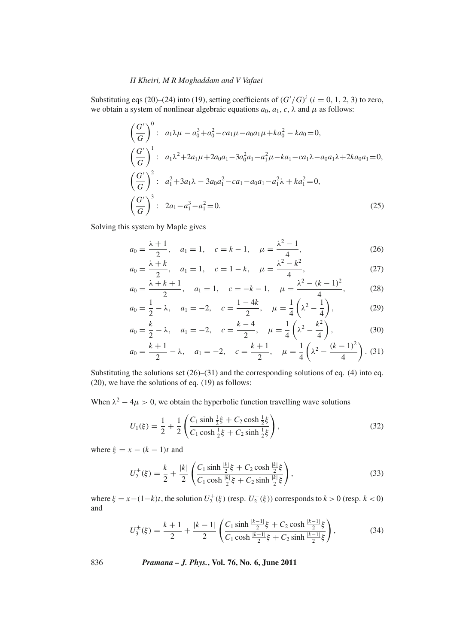Substituting eqs (20)–(24) into (19), setting coefficients of  $(G'/G)^i$  ( $i = 0, 1, 2, 3$ ) to zero, we obtain a system of nonlinear algebraic equations  $a_0$ ,  $a_1$ ,  $c$ ,  $\lambda$  and  $\mu$  as follows:

$$
\left(\frac{G'}{G}\right)^0: a_1\lambda\mu - a_0^3 + a_0^2 - ca_1\mu - a_0a_1\mu + ka_0^2 - ka_0 = 0,
$$
\n
$$
\left(\frac{G'}{G}\right)^1: a_1\lambda^2 + 2a_1\mu + 2a_0a_1 - 3a_0^2a_1 - a_1^2\mu - ka_1 - ca_1\lambda - a_0a_1\lambda + 2ka_0a_1 = 0,
$$
\n
$$
\left(\frac{G'}{G}\right)^2: a_1^2 + 3a_1\lambda - 3a_0a_1^2 - ca_1 - a_0a_1 - a_1^2\lambda + ka_1^2 = 0,
$$
\n
$$
\left(\frac{G'}{G}\right)^3: 2a_1 - a_1^3 - a_1^2 = 0.
$$
\n(25)

Solving this system by Maple gives

$$
a_0 = \frac{\lambda + 1}{2}, \quad a_1 = 1, \quad c = k - 1, \quad \mu = \frac{\lambda^2 - 1}{4}, \tag{26}
$$

$$
a_0 = \frac{\lambda + k}{2}, \quad a_1 = 1, \quad c = 1 - k, \quad \mu = \frac{\lambda^2 - k^2}{4}, \tag{27}
$$

$$
a_0 = \frac{\lambda + k + 1}{2}, \quad a_1 = 1, \quad c = -k - 1, \quad \mu = \frac{\lambda^2 - (k - 1)^2}{4}, \tag{28}
$$

$$
a_0 = \frac{1}{2} - \lambda, \quad a_1 = -2, \quad c = \frac{1 - 4k}{2}, \quad \mu = \frac{1}{4} \left( \lambda^2 - \frac{1}{4} \right), \tag{29}
$$

$$
a_0 = \frac{k}{2} - \lambda
$$
,  $a_1 = -2$ ,  $c = \frac{k-4}{2}$ ,  $\mu = \frac{1}{4} \left( \lambda^2 - \frac{k^2}{4} \right)$ , (30)

$$
a_0 = \frac{k+1}{2} - \lambda
$$
,  $a_1 = -2$ ,  $c = \frac{k+1}{2}$ ,  $\mu = \frac{1}{4} \left( \lambda^2 - \frac{(k-1)^2}{4} \right)$ . (31)

Substituting the solutions set  $(26)$ – $(31)$  and the corresponding solutions of eq. (4) into eq. (20), we have the solutions of eq. (19) as follows:

When  $\lambda^2 - 4\mu > 0$ , we obtain the hyperbolic function travelling wave solutions

$$
U_1(\xi) = \frac{1}{2} + \frac{1}{2} \left( \frac{C_1 \sinh \frac{1}{2} \xi + C_2 \cosh \frac{1}{2} \xi}{C_1 \cosh \frac{1}{2} \xi + C_2 \sinh \frac{1}{2} \xi} \right),
$$
(32)

where  $\xi = x - (k-1)t$  and

$$
U_2^{\pm}(\xi) = \frac{k}{2} + \frac{|k|}{2} \left( \frac{C_1 \sinh \frac{|k|}{2} \xi + C_2 \cosh \frac{|k|}{2} \xi}{C_1 \cosh \frac{|k|}{2} \xi + C_2 \sinh \frac{|k|}{2} \xi} \right),\tag{33}
$$

where  $\xi = x - (1 - k)t$ , the solution  $U_2^+(\xi)$  (resp.  $U_2^-(\xi)$ ) corresponds to  $k > 0$  (resp.  $k < 0$ ) and

$$
U_3^{\pm}(\xi) = \frac{k+1}{2} + \frac{|k-1|}{2} \left( \frac{C_1 \sinh \frac{|k-1|}{2} \xi + C_2 \cosh \frac{|k-1|}{2} \xi}{C_1 \cosh \frac{|k-1|}{2} \xi + C_2 \sinh \frac{|k-1|}{2} \xi} \right),\tag{34}
$$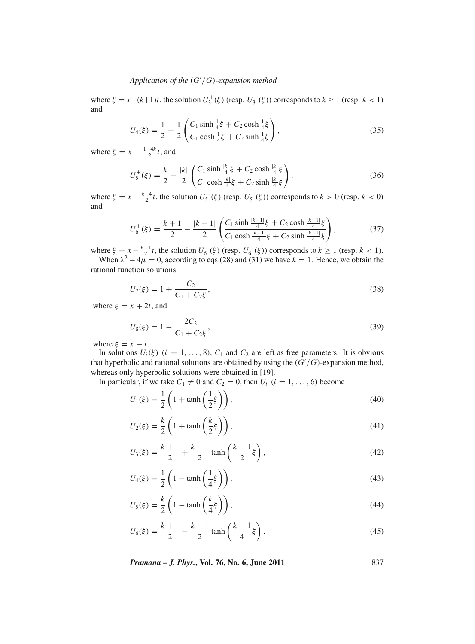# *Application of the* (*G* /*G*)*-expansion method*

where  $\xi = x + (k+1)t$ , the solution  $U_3^+(\xi)$  (resp.  $U_3^-(\xi)$ ) corresponds to  $k \ge 1$  (resp.  $k < 1$ ) and

$$
U_4(\xi) = \frac{1}{2} - \frac{1}{2} \left( \frac{C_1 \sinh \frac{1}{4}\xi + C_2 \cosh \frac{1}{4}\xi}{C_1 \cosh \frac{1}{4}\xi + C_2 \sinh \frac{1}{4}\xi} \right),
$$
(35)

where  $\xi = x - \frac{1-4k}{2}t$ , and

$$
U_5^{\pm}(\xi) = \frac{k}{2} - \frac{|k|}{2} \left( \frac{C_1 \sinh \frac{|k|}{4} \xi + C_2 \cosh \frac{|k|}{4} \xi}{C_1 \cosh \frac{|k|}{4} \xi + C_2 \sinh \frac{|k|}{4} \xi} \right),\tag{36}
$$

where  $\xi = x - \frac{k-4}{2}t$ , the solution  $U_5^+(\xi)$  (resp.  $U_5^-(\xi)$ ) corresponds to  $k > 0$  (resp.  $k < 0$ ) and

$$
U_6^{\pm}(\xi) = \frac{k+1}{2} - \frac{|k-1|}{2} \left( \frac{C_1 \sinh \frac{|k-1|}{4} \xi + C_2 \cosh \frac{|k-1|}{4} \xi}{C_1 \cosh \frac{|k-1|}{4} \xi + C_2 \sinh \frac{|k-1|}{4} \xi} \right),\tag{37}
$$

where  $\xi = x - \frac{k+1}{2}t$ , the solution  $U_6^+(\xi)$  (resp.  $U_6^-(\xi)$ ) corresponds to  $k \ge 1$  (resp.  $k < 1$ ).

When  $\lambda^2 - 4\mu = 0$ , according to eqs (28) and (31) we have  $k = 1$ . Hence, we obtain the rational function solutions

$$
U_7(\xi) = 1 + \frac{C_2}{C_1 + C_2 \xi},\tag{38}
$$

where  $\xi = x + 2t$ , and

$$
U_8(\xi) = 1 - \frac{2C_2}{C_1 + C_2\xi},\tag{39}
$$

where  $\xi = x - t$ .

In solutions  $U_i(\xi)$  ( $i = 1, ..., 8$ ),  $C_1$  and  $C_2$  are left as free parameters. It is obvious that hyperbolic and rational solutions are obtained by using the (*G* /*G*)-expansion method, whereas only hyperbolic solutions were obtained in [19].

In particular, if we take  $C_1 \neq 0$  and  $C_2 = 0$ , then  $U_i$   $(i = 1, ..., 6)$  become

$$
U_1(\xi) = \frac{1}{2} \left( 1 + \tanh\left(\frac{1}{2}\xi\right) \right),\tag{40}
$$

$$
U_2(\xi) = \frac{k}{2} \left( 1 + \tanh\left(\frac{k}{2}\xi\right) \right),\tag{41}
$$

$$
U_3(\xi) = \frac{k+1}{2} + \frac{k-1}{2} \tanh\left(\frac{k-1}{2}\xi\right),\tag{42}
$$

$$
U_4(\xi) = \frac{1}{2} \left( 1 - \tanh\left(\frac{1}{4}\xi\right) \right),\tag{43}
$$

$$
U_5(\xi) = \frac{k}{2} \left( 1 - \tanh\left(\frac{k}{4}\xi\right) \right),\tag{44}
$$

$$
U_6(\xi) = \frac{k+1}{2} - \frac{k-1}{2} \tanh\left(\frac{k-1}{4}\xi\right). \tag{45}
$$

*Pramana – J. Phys.***, Vol. 76, No. 6, June 2011** 837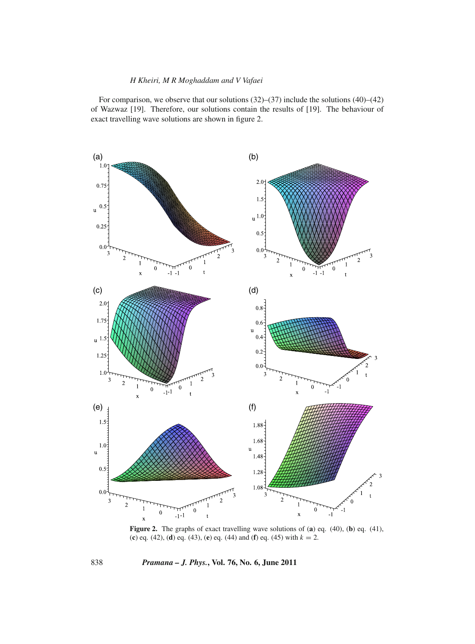For comparison, we observe that our solutions (32)–(37) include the solutions (40)–(42) of Wazwaz [19]. Therefore, our solutions contain the results of [19]. The behaviour of exact travelling wave solutions are shown in figure 2.



**Figure 2.** The graphs of exact travelling wave solutions of (**a**) eq. (40), (**b**) eq. (41), (**c**) eq. (42), (**d**) eq. (43), (**e**) eq. (44) and (**f**) eq. (45) with *k* = 2.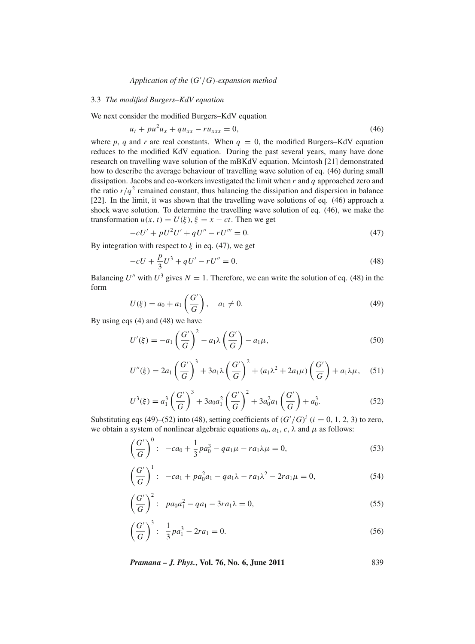# *Application of the* (*G* /*G*)*-expansion method*

### 3.3 *The modified Burgers–KdV equation*

We next consider the modified Burgers–KdV equation

$$
u_t + pu^2 u_x + qu_{xx} - ru_{xxx} = 0,
$$
\n(46)

where  $p$ ,  $q$  and  $r$  are real constants. When  $q = 0$ , the modified Burgers–KdV equation reduces to the modified KdV equation. During the past several years, many have done research on travelling wave solution of the mBKdV equation. Mcintosh [21] demonstrated how to describe the average behaviour of travelling wave solution of eq. (46) during small dissipation. Jacobs and co-workers investigated the limit when *r* and *q* approached zero and the ratio  $r/q^2$  remained constant, thus balancing the dissipation and dispersion in balance [22]. In the limit, it was shown that the travelling wave solutions of eq. (46) approach a shock wave solution. To determine the travelling wave solution of eq. (46), we make the transformation  $u(x, t) = U(\xi), \xi = x - ct$ . Then we get

$$
-cU' + pU^2U' + qU'' - rU''' = 0.
$$
\n(47)

By integration with respect to  $\xi$  in eq. (47), we get

$$
-cU + \frac{p}{3}U^3 + qU' - rU'' = 0.
$$
\n(48)

Balancing *U''* with  $U^3$  gives  $N = 1$ . Therefore, we can write the solution of eq. (48) in the form

$$
U(\xi) = a_0 + a_1 \left(\frac{G'}{G}\right), \quad a_1 \neq 0.
$$
 (49)

By using eqs (4) and (48) we have

$$
U'(\xi) = -a_1 \left(\frac{G'}{G}\right)^2 - a_1 \lambda \left(\frac{G'}{G}\right) - a_1 \mu,\tag{50}
$$

$$
U''(\xi) = 2a_1 \left(\frac{G'}{G}\right)^3 + 3a_1 \lambda \left(\frac{G'}{G}\right)^2 + (a_1 \lambda^2 + 2a_1 \mu) \left(\frac{G'}{G}\right) + a_1 \lambda \mu, \quad (51)
$$

$$
U^{3}(\xi) = a_{1}^{3} \left(\frac{G'}{G}\right)^{3} + 3a_{0}a_{1}^{2} \left(\frac{G'}{G}\right)^{2} + 3a_{0}^{2}a_{1} \left(\frac{G'}{G}\right) + a_{0}^{3}.
$$
 (52)

Substituting eqs (49)–(52) into (48), setting coefficients of  $(G'/G)^i$  ( $i = 0, 1, 2, 3$ ) to zero, we obtain a system of nonlinear algebraic equations  $a_0$ ,  $a_1$ ,  $c$ ,  $\lambda$  and  $\mu$  as follows:

$$
\left(\frac{G'}{G}\right)^0: -ca_0 + \frac{1}{3}pa_0^3 - qa_1\mu - ra_1\lambda\mu = 0,
$$
\n(53)

$$
\left(\frac{G'}{G}\right)^1: -ca_1 + pa_0^2a_1 - qa_1\lambda - ra_1\lambda^2 - 2ra_1\mu = 0,
$$
\n(54)

$$
\left(\frac{G'}{G}\right)^2: \ \ pa_0 a_1^2 - q a_1 - 3r a_1 \lambda = 0,\tag{55}
$$

$$
\left(\frac{G'}{G}\right)^3: \ \frac{1}{3}pa_1^3 - 2ra_1 = 0. \tag{56}
$$

*Pramana – J. Phys.***, Vol. 76, No. 6, June 2011** 839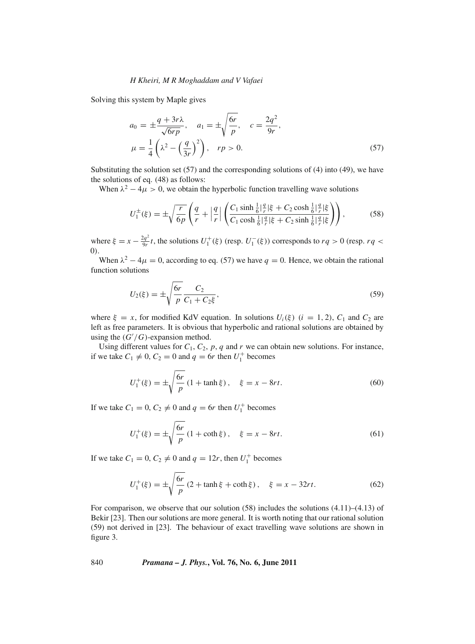Solving this system by Maple gives

$$
a_0 = \pm \frac{q + 3r\lambda}{\sqrt{6rp}}, \quad a_1 = \pm \sqrt{\frac{6r}{p}}, \quad c = \frac{2q^2}{9r}, \n\mu = \frac{1}{4} \left( \lambda^2 - \left( \frac{q}{3r} \right)^2 \right), \quad rp > 0.
$$
\n(57)

Substituting the solution set (57) and the corresponding solutions of (4) into (49), we have the solutions of eq. (48) as follows:

When  $\lambda^2 - 4\mu > 0$ , we obtain the hyperbolic function travelling wave solutions

$$
U_1^{\pm}(\xi) = \pm \sqrt{\frac{r}{6p}} \left( \frac{q}{r} + \left| \frac{q}{r} \right| \left( \frac{C_1 \sinh \frac{1}{6} |\frac{q}{r}| \xi + C_2 \cosh \frac{1}{6} |\frac{q}{r}| \xi}{C_1 \cosh \frac{1}{6} |\frac{q}{r}| \xi + C_2 \sinh \frac{1}{6} |\frac{q}{r}| \xi} \right) \right),
$$
(58)

where  $\xi = x - \frac{2q^2}{9r}t$ , the solutions  $U_1^+(\xi)$  (resp.  $U_1^-(\xi)$ ) corresponds to  $rq > 0$  (resp.  $rq <$ 0).

When  $\lambda^2 - 4\mu = 0$ , according to eq. (57) we have  $q = 0$ . Hence, we obtain the rational function solutions

$$
U_2(\xi) = \pm \sqrt{\frac{6r}{p} \frac{C_2}{C_1 + C_2 \xi}},
$$
\n(59)

where  $\xi = x$ , for modified KdV equation. In solutions  $U_i(\xi)$  ( $i = 1, 2$ ),  $C_1$  and  $C_2$  are left as free parameters. It is obvious that hyperbolic and rational solutions are obtained by using the  $(G'/G)$ -expansion method.

Using different values for  $C_1$ ,  $C_2$ ,  $p$ ,  $q$  and  $r$  we can obtain new solutions. For instance, if we take  $C_1 \neq 0$ ,  $C_2 = 0$  and  $q = 6r$  then  $U_1^+$  becomes

$$
U_1^+(\xi) = \pm \sqrt{\frac{6r}{p}} (1 + \tanh \xi), \quad \xi = x - 8rt.
$$
 (60)

If we take  $C_1 = 0$ ,  $C_2 \neq 0$  and  $q = 6r$  then  $U_1^+$  becomes

$$
U_1^+(\xi) = \pm \sqrt{\frac{6r}{p}} (1 + \coth \xi), \quad \xi = x - 8rt.
$$
 (61)

If we take  $C_1 = 0$ ,  $C_2 \neq 0$  and  $q = 12r$ , then  $U_1^+$  becomes

$$
U_1^+(\xi) = \pm \sqrt{\frac{6r}{p}} (2 + \tanh \xi + \coth \xi), \quad \xi = x - 32rt.
$$
 (62)

For comparison, we observe that our solution (58) includes the solutions (4.11)–(4.13) of Bekir [23]. Then our solutions are more general. It is worth noting that our rational solution (59) not derived in [23]. The behaviour of exact travelling wave solutions are shown in figure 3.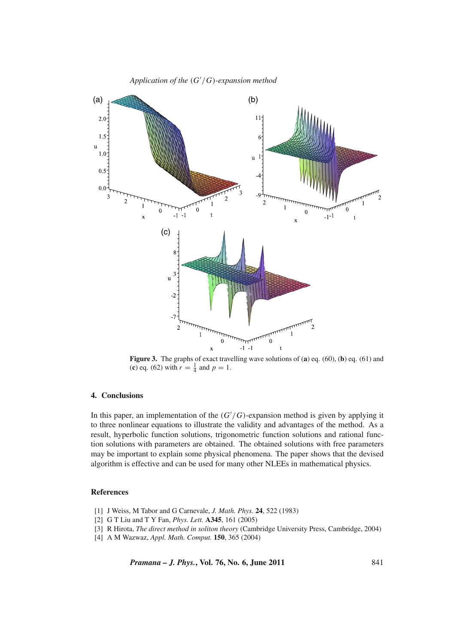

**Figure 3.** The graphs of exact travelling wave solutions of (**a**) eq. (60), (**b**) eq. (61) and (**c**) eq. (62) with  $r = \frac{1}{4}$  and  $p = 1$ .

### **4. Conclusions**

In this paper, an implementation of the  $(G'/G)$ -expansion method is given by applying it to three nonlinear equations to illustrate the validity and advantages of the method. As a result, hyperbolic function solutions, trigonometric function solutions and rational function solutions with parameters are obtained. The obtained solutions with free parameters may be important to explain some physical phenomena. The paper shows that the devised algorithm is effective and can be used for many other NLEEs in mathematical physics.

#### **References**

- [1] J Weiss, M Tabor and G Carnevale, *J. Math. Phys.* **24**, 522 (1983)
- [2] G T Liu and T Y Fan, *Phys. Lett.* **A345**, 161 (2005)
- [3] R Hirota, *The direct method in soliton theory* (Cambridge University Press, Cambridge, 2004)
- [4] A M Wazwaz, *Appl. Math. Comput.* **150**, 365 (2004)